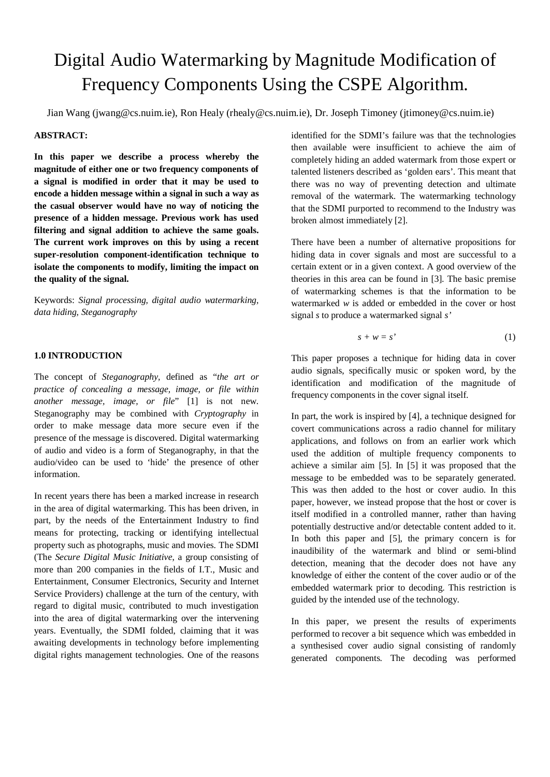# Digital Audio Watermarking by Magnitude Modification of Frequency Components Using the CSPE Algorithm.

Jian Wang (jwang@cs.nuim.ie), Ron Healy (rhealy@cs.nuim.ie), Dr. Joseph Timoney (jtimoney@cs.nuim.ie)

# **ABSTRACT:**

**In this paper we describe a process whereby the magnitude of either one or two frequency components of a signal is modified in order that it may be used to encode a hidden message within a signal in such a way as the casual observer would have no way of noticing the presence of a hidden message. Previous work has used filtering and signal addition to achieve the same goals. The current work improves on this by using a recent super-resolution component-identification technique to isolate the components to modify, limiting the impact on the quality of the signal.**

Keywords: *Signal processing, digital audio watermarking, data hiding, Steganography*

# **1.0 INTRODUCTION**

The concept of *Steganography,* defined as "*the art or practice of concealing a message, image, or file within another message, image, or file*" [1] is not new. Steganography may be combined with *Cryptography* in order to make message data more secure even if the presence of the message is discovered. Digital watermarking of audio and video is a form of Steganography, in that the audio/video can be used to 'hide' the presence of other information.

In recent years there has been a marked increase in research in the area of digital watermarking. This has been driven, in part, by the needs of the Entertainment Industry to find means for protecting, tracking or identifying intellectual property such as photographs, music and movies. The SDMI (The *Secure Digital Music Initiative*, a group consisting of more than 200 companies in the fields of I.T., Music and Entertainment, Consumer Electronics, Security and Internet Service Providers) challenge at the turn of the century, with regard to digital music, contributed to much investigation into the area of digital watermarking over the intervening years. Eventually, the SDMI folded, claiming that it was awaiting developments in technology before implementing digital rights management technologies. One of the reasons identified for the SDMI's failure was that the technologies then available were insufficient to achieve the aim of completely hiding an added watermark from those expert or talented listeners described as 'golden ears'. This meant that there was no way of preventing detection and ultimate removal of the watermark. The watermarking technology that the SDMI purported to recommend to the Industry was broken almost immediately [2].

There have been a number of alternative propositions for hiding data in cover signals and most are successful to a certain extent or in a given context. A good overview of the theories in this area can be found in [3]. The basic premise of watermarking schemes is that the information to be watermarked *w* is added or embedded in the cover or host signal *s* to produce a watermarked signal *s'*

$$
s + w = s' \tag{1}
$$

This paper proposes a technique for hiding data in cover audio signals, specifically music or spoken word, by the identification and modification of the magnitude of frequency components in the cover signal itself.

In part, the work is inspired by [4], a technique designed for covert communications across a radio channel for military applications, and follows on from an earlier work which used the addition of multiple frequency components to achieve a similar aim [5]. In [5] it was proposed that the message to be embedded was to be separately generated. This was then added to the host or cover audio. In this paper, however, we instead propose that the host or cover is itself modified in a controlled manner, rather than having potentially destructive and/or detectable content added to it. In both this paper and [5], the primary concern is for inaudibility of the watermark and blind or semi-blind detection, meaning that the decoder does not have any knowledge of either the content of the cover audio or of the embedded watermark prior to decoding. This restriction is guided by the intended use of the technology.

In this paper, we present the results of experiments performed to recover a bit sequence which was embedded in a synthesised cover audio signal consisting of randomly generated components. The decoding was performed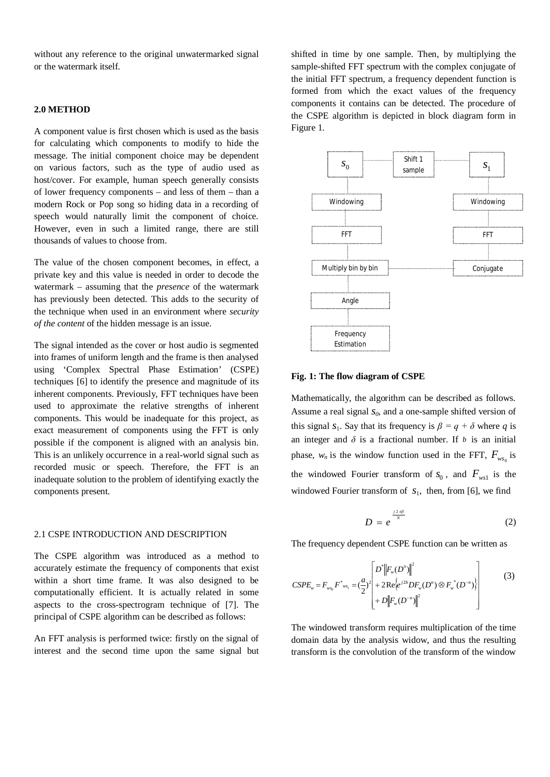without any reference to the original unwatermarked signal or the watermark itself.

## **2.0 METHOD**

A component value is first chosen which is used as the basis for calculating which components to modify to hide the message. The initial component choice may be dependent on various factors, such as the type of audio used as host/cover. For example, human speech generally consists of lower frequency components – and less of them – than a modern Rock or Pop song so hiding data in a recording of speech would naturally limit the component of choice. However, even in such a limited range, there are still thousands of values to choose from.

The value of the chosen component becomes, in effect, a private key and this value is needed in order to decode the watermark – assuming that the *presence* of the watermark has previously been detected. This adds to the security of the technique when used in an environment where *security of the content* of the hidden message is an issue.

The signal intended as the cover or host audio is segmented into frames of uniform length and the frame is then analysed using 'Complex Spectral Phase Estimation' (CSPE) techniques [6] to identify the presence and magnitude of its inherent components. Previously, FFT techniques have been used to approximate the relative strengths of inherent components. This would be inadequate for this project, as exact measurement of components using the FFT is only possible if the component is aligned with an analysis bin. This is an unlikely occurrence in a real-world signal such as recorded music or speech. Therefore, the FFT is an inadequate solution to the problem of identifying exactly the components present.

#### 2.1 CSPE INTRODUCTION AND DESCRIPTION

The CSPE algorithm was introduced as a method to accurately estimate the frequency of components that exist within a short time frame. It was also designed to be computationally efficient. It is actually related in some aspects to the cross-spectrogram technique of [7]. The principal of CSPE algorithm can be described as follows:

An FFT analysis is performed twice: firstly on the signal of interest and the second time upon the same signal but shifted in time by one sample. Then, by multiplying the sample-shifted FFT spectrum with the complex conjugate of the initial FFT spectrum, a frequency dependent function is formed from which the exact values of the frequency components it contains can be detected. The procedure of the CSPE algorithm is depicted in block diagram form in Figure 1.



#### **Fig. 1: The flow diagram of CSPE**

Mathematically, the algorithm can be described as follows. Assume a real signal *s0*, and a one-sample shifted version of this signal  $s_1$ . Say that its frequency is  $\beta = q + \delta$  where *q* is an integer and  $\delta$  is a fractional number. If  $\delta$  is an initial phase,  $w_n$  is the window function used in the FFT,  $F_{w s_0}$  is the windowed Fourier transform of  $S_0$ , and  $F_{ws1}$  is the windowed Fourier transform of  $s_1$ , then, from [6], we find

$$
D = e^{\frac{j 2 \pi \beta}{N}}
$$
 (2)

The frequency dependent CSPE function can be written as

$$
CSPE_{w} = F_{ws_{0}} F^{*}_{ws_{1}} = \left(\frac{a}{2}\right)^{2} \left[ \frac{D^{*} \left\|F_{w}(D^{n})\right\|^{2}}{2} + 2 \text{Re}\left\{e^{j2b} DF_{w}(D^{n}) \otimes F_{w}^{*}(D^{-n})\right\} + D \left\|F_{w}(D^{-n})\right\|^{2} \right]
$$
(3)

The windowed transform requires multiplication of the time domain data by the analysis widow, and thus the resulting transform is the convolution of the transform of the window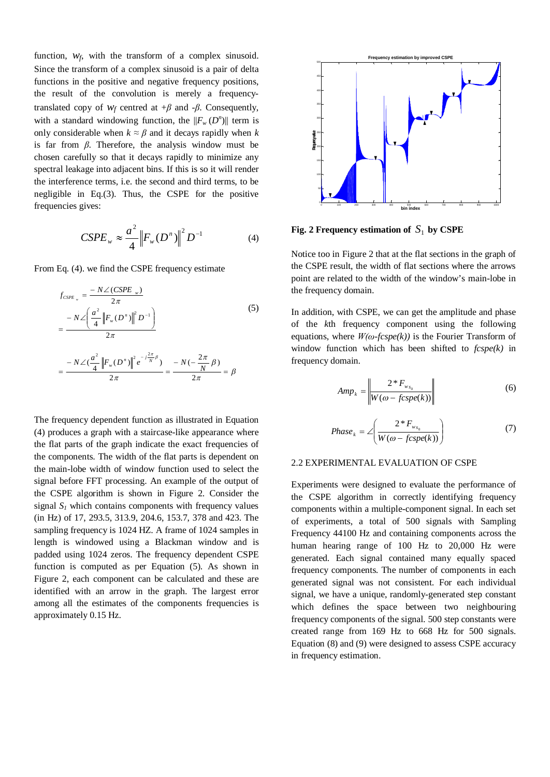function,  $w_f$ , with the transform of a complex sinusoid. Since the transform of a complex sinusoid is a pair of delta functions in the positive and negative frequency positions, the result of the convolution is merely a frequencytranslated copy of  $W_f$  centred at  $+\beta$  and  $-\beta$ . Consequently, with a standard windowing function, the  $||F_w(D^n)||$  term is only considerable when  $k \approx \beta$  and it decays rapidly when *k* is far from *β*. Therefore, the analysis window must be chosen carefully so that it decays rapidly to minimize any spectral leakage into adjacent bins. If this is so it will render the interference terms, i.e. the second and third terms, to be negligible in Eq.(3). Thus, the CSPE for the positive frequencies gives:

$$
CSPE_{w} \approx \frac{a^{2}}{4} \left\| F_{w}(D^{n}) \right\|^{2} D^{-1}
$$
 (4)

From Eq. (4). we find the CSPE frequency estimate

$$
f_{CSPE_w} = \frac{-N\angle(CSPE_w)}{2\pi}
$$
  
= 
$$
\frac{-N\angle\left(\frac{a^2}{4} ||F_w(D^n)||^2 D^{-1}\right)}{2\pi}
$$
  
= 
$$
\frac{-N\angle(\frac{a^2}{4} ||F_w(D^n)||^2 e^{-j\frac{2\pi}{N}\beta})}{2\pi} = \frac{-N(-\frac{2\pi}{N}\beta)}{2\pi} = \beta
$$
 (5)

The frequency dependent function as illustrated in Equation (4) produces a graph with a staircase-like appearance where the flat parts of the graph indicate the exact frequencies of the components. The width of the flat parts is dependent on the main-lobe width of window function used to select the signal before FFT processing. An example of the output of the CSPE algorithm is shown in Figure 2. Consider the signal  $S_I$  which contains components with frequency values (in Hz) of 17, 293.5, 313.9, 204.6, 153.7, 378 and 423. The sampling frequency is 1024 HZ. A frame of 1024 samples in length is windowed using a Blackman window and is padded using 1024 zeros. The frequency dependent CSPE function is computed as per Equation (5). As shown in Figure 2, each component can be calculated and these are identified with an arrow in the graph. The largest error among all the estimates of the components frequencies is approximately 0.15 Hz.



**Fig. 2 Frequency estimation of**  $S_1$  by CSPE

Notice too in Figure 2 that at the flat sections in the graph of the CSPE result, the width of flat sections where the arrows point are related to the width of the window's main-lobe in the frequency domain.

In addition, with CSPE, we can get the amplitude and phase of the *k*th frequency component using the following equations, where *W(ω-fcspe(k))* is the Fourier Transform of window function which has been shifted to *fcspe(k)* in frequency domain.

$$
Amp_k = \left\| \frac{2 \cdot F_{w_{s_0}}}{W(\omega - fcspe(k))} \right\| \tag{6}
$$

$$
Phase_{k} = \angle \left(\frac{2 * F_{w_{s_0}}}{W(\omega - f c spe(k))}\right) \tag{7}
$$

#### 2.2 EXPERIMENTAL EVALUATION OF CSPE

Experiments were designed to evaluate the performance of the CSPE algorithm in correctly identifying frequency components within a multiple-component signal. In each set of experiments, a total of 500 signals with Sampling Frequency 44100 Hz and containing components across the human hearing range of 100 Hz to 20,000 Hz were generated. Each signal contained many equally spaced frequency components. The number of components in each generated signal was not consistent. For each individual signal, we have a unique, randomly-generated step constant which defines the space between two neighbouring frequency components of the signal. 500 step constants were created range from 169 Hz to 668 Hz for 500 signals. Equation (8) and (9) were designed to assess CSPE accuracy in frequency estimation.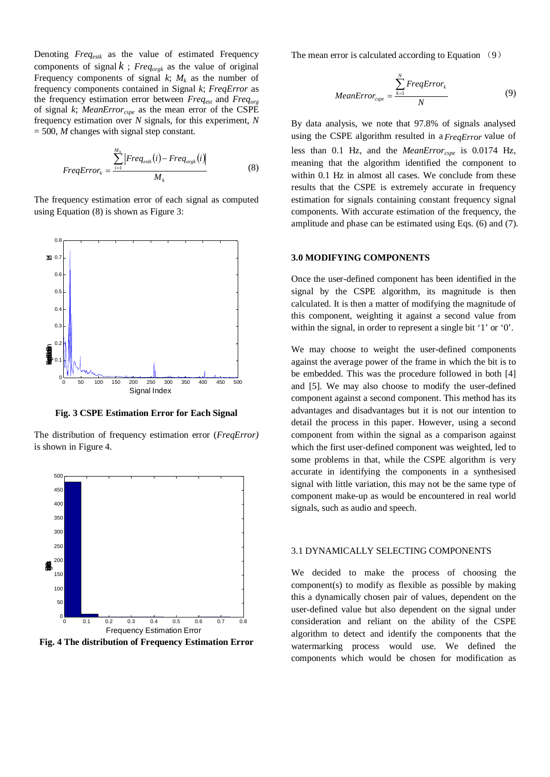Denoting *Freqestk* as the value of estimated Frequency components of signal  $k$ ; *Freq*<sub>orgk</sub> as the value of original Frequency components of signal  $k$ ;  $M_k$  as the number of frequency components contained in Signal *k*; *FreqError* as the frequency estimation error between *Freqest* and *Freqorg* of signal *k*; *MeanErrorcspe* as the mean error of the CSPE frequency estimation over *N* signals, for this experiment, *N* = 500, *M* changes with signal step constant.

$$
FreqError_{k} = \frac{\sum_{i=1}^{M_{k}} |Freq_{esik}(i) -Freq_{orgk}(i)|}{M_{k}}
$$
(8)

The frequency estimation error of each signal as computed using Equation (8) is shown as Figure 3:



**Fig. 3 CSPE Estimation Error for Each Signal**

The distribution of frequency estimation error (*FreqError)* is shown in Figure 4.



**Fig. 4 The distribution of Frequency Estimation Error**

The mean error is calculated according to Equation (9)

$$
MeanError_{cspe} = \frac{\sum_{k=1}^{N}FreqError_k}{N}
$$
(9)

By data analysis, we note that 97.8% of signals analysed using the CSPE algorithm resulted in a *FreqError* value of less than 0.1 Hz, and the *MeanErrorcspe* is 0.0174 Hz, meaning that the algorithm identified the component to within 0.1 Hz in almost all cases. We conclude from these results that the CSPE is extremely accurate in frequency estimation for signals containing constant frequency signal components. With accurate estimation of the frequency, the amplitude and phase can be estimated using Eqs. (6) and (7).

## **3.0 MODIFYING COMPONENTS**

Once the user-defined component has been identified in the signal by the CSPE algorithm, its magnitude is then calculated. It is then a matter of modifying the magnitude of this component, weighting it against a second value from within the signal, in order to represent a single bit '1' or '0'.

We may choose to weight the user-defined components against the average power of the frame in which the bit is to be embedded. This was the procedure followed in both [4] and [5]. We may also choose to modify the user-defined component against a second component. This method has its advantages and disadvantages but it is not our intention to detail the process in this paper. However, using a second component from within the signal as a comparison against which the first user-defined component was weighted, led to some problems in that, while the CSPE algorithm is very accurate in identifying the components in a synthesised signal with little variation, this may not be the same type of component make-up as would be encountered in real world signals, such as audio and speech.

#### 3.1 DYNAMICALLY SELECTING COMPONENTS

We decided to make the process of choosing the component(s) to modify as flexible as possible by making this a dynamically chosen pair of values, dependent on the user-defined value but also dependent on the signal under consideration and reliant on the ability of the CSPE algorithm to detect and identify the components that the watermarking process would use. We defined the components which would be chosen for modification as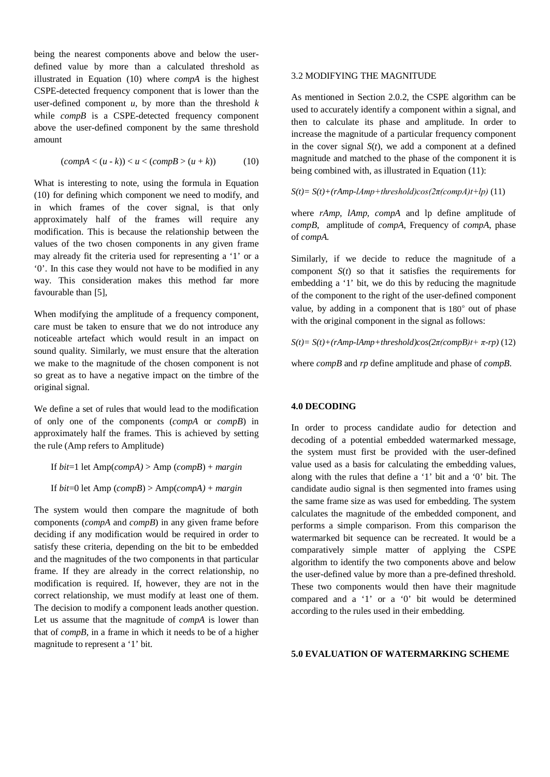being the nearest components above and below the userdefined value by more than a calculated threshold as illustrated in Equation (10) where *compA* is the highest CSPE-detected frequency component that is lower than the user-defined component  $u$ , by more than the threshold  $k$ while *compB* is a CSPE-detected frequency component above the user-defined component by the same threshold amount

$$
(compA < (u-k)) < u < (compB > (u+k))
$$
 (10)

What is interesting to note, using the formula in Equation (10) for defining which component we need to modify, and in which frames of the cover signal, is that only approximately half of the frames will require any modification. This is because the relationship between the values of the two chosen components in any given frame may already fit the criteria used for representing a '1' or a '0'. In this case they would not have to be modified in any way. This consideration makes this method far more favourable than [5],

When modifying the amplitude of a frequency component, care must be taken to ensure that we do not introduce any noticeable artefact which would result in an impact on sound quality. Similarly, we must ensure that the alteration we make to the magnitude of the chosen component is not so great as to have a negative impact on the timbre of the original signal.

We define a set of rules that would lead to the modification of only one of the components (*compA* or *compB*) in approximately half the frames. This is achieved by setting the rule (Amp refers to Amplitude)

If *bit*=1 let Amp(*compA)* > Amp (*compB*) + *margin*

If *bit*=0 let Amp (*compB*) > Amp(*compA)* + *margin*

The system would then compare the magnitude of both components (*compA* and *compB*) in any given frame before deciding if any modification would be required in order to satisfy these criteria, depending on the bit to be embedded and the magnitudes of the two components in that particular frame. If they are already in the correct relationship, no modification is required. If, however, they are not in the correct relationship, we must modify at least one of them. The decision to modify a component leads another question. Let us assume that the magnitude of *compA* is lower than that of *compB,* in a frame in which it needs to be of a higher magnitude to represent a '1' bit.

# 3.2 MODIFYING THE MAGNITUDE

As mentioned in Section 2.0.2, the CSPE algorithm can be used to accurately identify a component within a signal, and then to calculate its phase and amplitude. In order to increase the magnitude of a particular frequency component in the cover signal  $S(t)$ , we add a component at a defined magnitude and matched to the phase of the component it is being combined with, as illustrated in Equation (11):

 $S(t) = S(t) + (rAmp-lAmp+threshold)cos(2\pi (compA)t+lp)$  (11)

where *rAmp, lAmp, compA* and lp define amplitude of *compB*, amplitude of *compA*, Frequency of *compA*, phase of *compA.*

Similarly, if we decide to reduce the magnitude of a component  $S(t)$  so that it satisfies the requirements for embedding a '1' bit, we do this by reducing the magnitude of the component to the right of the user-defined component value, by adding in a component that is 180° out of phase with the original component in the signal as follows:

 $S(t) = S(t) + (rAmp-1Amp+threshold)cos(2\pi(compB)t+\pi-rp)$  (12)

where *compB* and *rp* define amplitude and phase of *compB.*

#### **4.0 DECODING**

In order to process candidate audio for detection and decoding of a potential embedded watermarked message, the system must first be provided with the user-defined value used as a basis for calculating the embedding values, along with the rules that define a '1' bit and a '0' bit. The candidate audio signal is then segmented into frames using the same frame size as was used for embedding. The system calculates the magnitude of the embedded component, and performs a simple comparison. From this comparison the watermarked bit sequence can be recreated. It would be a comparatively simple matter of applying the CSPE algorithm to identify the two components above and below the user-defined value by more than a pre-defined threshold. These two components would then have their magnitude compared and a '1' or a '0' bit would be determined according to the rules used in their embedding.

# **5.0 EVALUATION OF WATERMARKING SCHEME**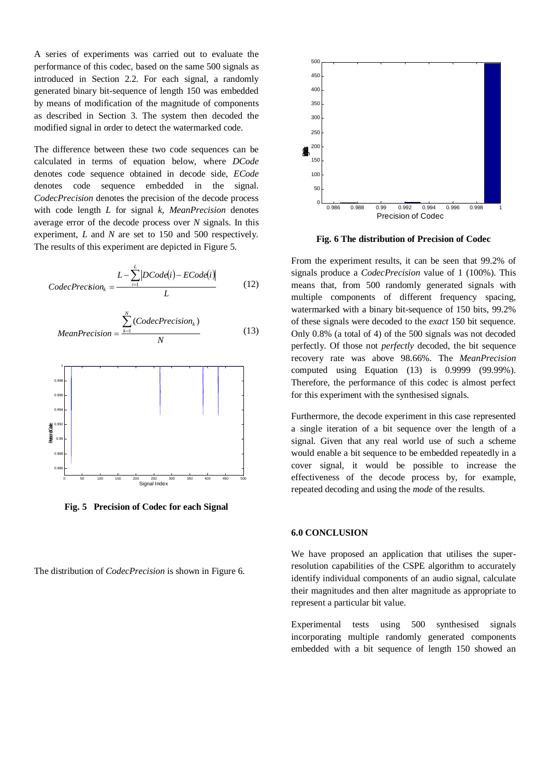A series of experiments was carried out to evaluate the performance of this codec, based on the same 500 signals as introduced in Section 2.2. For each signal, a randomly generated binary bit-sequence of length 150 was embedded by means of modification of the magnitude of components as described in Section 3. The system then decoded the modified signal in order to detect the watermarked code.

The difference between these two code sequences can be calculated in terms of equation below, where *DCode* denotes code sequence obtained in decode side, *ECode* denotes code sequence embedded in the signal. *CodecPrecision* denotes the precision of the decode process with code length *L* for signal *k*, *MeanPrecision* denotes average error of the decode process over *N* signals. In this experiment, *L* and *N* are set to 150 and 500 respectively. The results of this experiment are depicted in Figure 5.

$$
Code Precision_k = \frac{L - \sum_{i=1}^{L} |DCode(i) - ECode(i)|}{L}
$$
 (12)

MeanPrecision = 
$$
\frac{\sum_{k=1}^{N} (CodePrecision_k)}{N}
$$
 (13)



**Fig. 5 Precision of Codec for each Signal**

The distribution of *CodecPrecision* is shown in Figure 6.



**Fig. 6 The distribution of Precision of Codec**

From the experiment results, it can be seen that 99.2% of signals produce a *CodecPrecision* value of 1 (100%). This means that, from 500 randomly generated signals with multiple components of different frequency spacing, watermarked with a binary bit-sequence of 150 bits, 99.2% of these signals were decoded to the *exact* 150 bit sequence. Only 0.8% (a total of 4) of the 500 signals was not decoded perfectly. Of those not *perfectly* decoded, the bit sequence recovery rate was above 98.66%. The *MeanPrecision*  computed using Equation (13) is 0.9999 (99.99%). Therefore, the performance of this codec is almost perfect for this experiment with the synthesised signals.

Furthermore, the decode experiment in this case represented a single iteration of a bit sequence over the length of a signal. Given that any real world use of such a scheme would enable a bit sequence to be embedded repeatedly in a cover signal, it would be possible to increase the effectiveness of the decode process by, for example, repeated decoding and using the *mode* of the results.

## **6.0 CONCLUSION**

We have proposed an application that utilises the superresolution capabilities of the CSPE algorithm to accurately identify individual components of an audio signal, calculate their magnitudes and then alter magnitude as appropriate to represent a particular bit value.

Experimental tests using 500 synthesised signals incorporating multiple randomly generated components embedded with a bit sequence of length 150 showed an